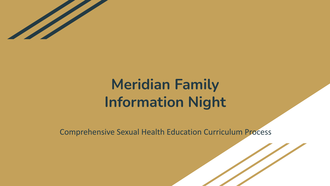

# **Meridian Family Information Night**

Comprehensive Sexual Health Education Curriculum Process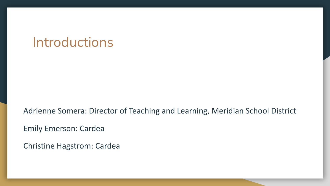#### Introductions

Adrienne Somera: Director of Teaching and Learning, Meridian School District

Emily Emerson: Cardea

Christine Hagstrom: Cardea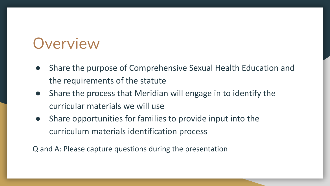## **Overview**

- Share the purpose of Comprehensive Sexual Health Education and the requirements of the statute
- Share the process that Meridian will engage in to identify the curricular materials we will use
- Share opportunities for families to provide input into the curriculum materials identification process

Q and A: Please capture questions during the presentation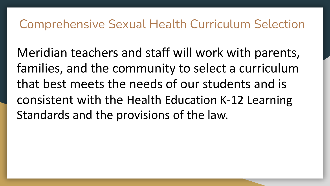#### Comprehensive Sexual Health Curriculum Selection

Meridian teachers and staff will work with parents, families, and the community to select a curriculum that best meets the needs of our students and is consistent with the [Health Education K-12 Learning](https://www.k12.wa.us/student-success/resources-subject-area/health-and-physical-education/k%E2%80%9312-learning-standards) [Standards](https://www.k12.wa.us/student-success/resources-subject-area/health-and-physical-education/k%E2%80%9312-learning-standards) and the provisions of the law.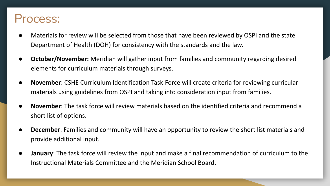#### Process:

- Materials for review will be selected from those that have been reviewed by OSPI and the state Department of Health (DOH) for consistency with the standards and the law.
- **October/November:** Meridian will gather input from families and community regarding desired elements for curriculum materials through surveys.
- **November:** CSHE Curriculum Identification Task-Force will create criteria for reviewing curricular materials using guidelines from OSPI and taking into consideration input from families.
- **November**: The task force will review materials based on the identified criteria and recommend a short list of options.
- **December:** Families and community will have an opportunity to review the short list materials and provide additional input.
- **January**: The task force will review the input and make a final recommendation of curriculum to the Instructional Materials Committee and the Meridian School Board.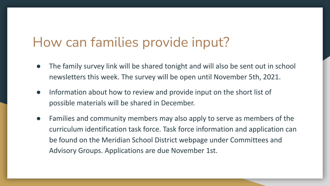#### How can families provide input?

- The family survey link will be shared tonight and will also be sent out in school newsletters this week. The survey will be open until November 5th, 2021.
- Information about how to review and provide input on the short list of possible materials will be shared in December.
- Families and community members may also apply to serve as members of the curriculum identification task force. Task force information and application can be found on the Meridian School District webpage under Committees and Advisory Groups. Applications are due November 1st.